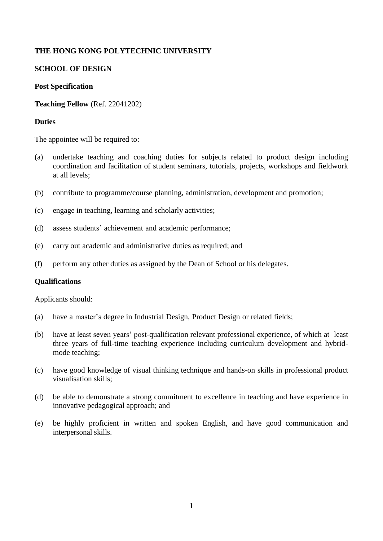# **THE HONG KONG POLYTECHNIC UNIVERSITY**

# **SCHOOL OF DESIGN**

### **Post Specification**

**Teaching Fellow** (Ref. 22041202)

### **Duties**

The appointee will be required to:

- (a) undertake teaching and coaching duties for subjects related to product design including coordination and facilitation of student seminars, tutorials, projects, workshops and fieldwork at all levels;
- (b) contribute to programme/course planning, administration, development and promotion;
- (c) engage in teaching, learning and scholarly activities;
- (d) assess students' achievement and academic performance;
- (e) carry out academic and administrative duties as required; and
- (f) perform any other duties as assigned by the Dean of School or his delegates.

### **Qualifications**

Applicants should:

- (a) have a master's degree in Industrial Design, Product Design or related fields;
- (b) have at least seven years' post-qualification relevant professional experience, of which at least three years of full-time teaching experience including curriculum development and hybridmode teaching;
- (c) have good knowledge of visual thinking technique and hands-on skills in professional product visualisation skills;
- (d) be able to demonstrate a strong commitment to excellence in teaching and have experience in innovative pedagogical approach; and
- (e) be highly proficient in written and spoken English, and have good communication and interpersonal skills.